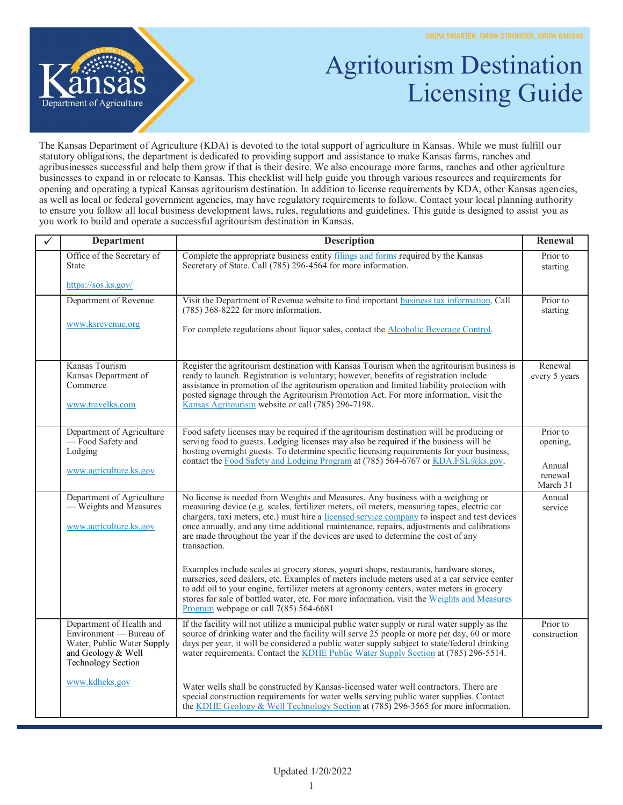

## Agritourism Destination Licensing Guide

The Kansas Department of Agriculture (KDA) is devoted to the total support of agriculture in Kansas. While we must fulfill our statutory obligations, the department is dedicated to providing support and assistance to make Kansas farms, ranches and agribusinesses successful and help them grow if that is their desire. We also encourage more farms, ranches and other agriculture businesses to expand in or relocate to Kansas. This checklist will help guide you through various resources and requirements for opening and operating a typical Kansas agritourism destination. In addition to license requirements by KDA, other Kansas agencies, as well as local or federal government agencies, may have regulatory requirements to follow. Contact your local planning authority to ensure you follow all local business development laws, rules, regulations and guidelines. This guide is designed to assist you as you work to build and operate a successful agritourism destination in Kansas.

| ✓ | <b>Department</b>                                                                                                                    | <b>Description</b>                                                                                                                                                                                                                                                                                                                                                                                                                                                                | Renewal                                               |
|---|--------------------------------------------------------------------------------------------------------------------------------------|-----------------------------------------------------------------------------------------------------------------------------------------------------------------------------------------------------------------------------------------------------------------------------------------------------------------------------------------------------------------------------------------------------------------------------------------------------------------------------------|-------------------------------------------------------|
|   | Office of the Secretary of<br><b>State</b>                                                                                           | Complete the appropriate business entity filings and forms required by the Kansas<br>Secretary of State. Call (785) 296-4564 for more information.                                                                                                                                                                                                                                                                                                                                | Prior to<br>starting                                  |
|   | https://sos.ks.gov/                                                                                                                  |                                                                                                                                                                                                                                                                                                                                                                                                                                                                                   |                                                       |
|   | Department of Revenue<br>www.ksrevenue.org                                                                                           | Visit the Department of Revenue website to find important business tax information. Call<br>$(785)$ 368-8222 for more information.<br>For complete regulations about liquor sales, contact the Alcoholic Beverage Control.                                                                                                                                                                                                                                                        | Prior to<br>starting                                  |
|   | Kansas Tourism                                                                                                                       | Register the agritourism destination with Kansas Tourism when the agritourism business is                                                                                                                                                                                                                                                                                                                                                                                         | Renewal                                               |
|   | Kansas Department of<br>Commerce<br>www.travelks.com                                                                                 | ready to launch. Registration is voluntary; however, benefits of registration include<br>assistance in promotion of the agritourism operation and limited liability protection with<br>posted signage through the Agritourism Promotion Act. For more information, visit the<br>Kansas Agritourism website or call (785) 296-7198.                                                                                                                                                | every 5 years                                         |
|   | Department of Agriculture<br>- Food Safety and<br>Lodging<br>www.agriculture.ks.gov                                                  | Food safety licenses may be required if the agritourism destination will be producing or<br>serving food to guests. Lodging licenses may also be required if the business will be<br>hosting overnight guests. To determine specific licensing requirements for your business,<br>contact the Food Safety and Lodging Program at (785) 564-6767 or KDA.FSL@ks.gov.                                                                                                                | Prior to<br>opening,<br>Annual<br>renewal<br>March 31 |
|   | Department of Agriculture<br>- Weights and Measures<br>www.agriculture.ks.gov                                                        | No license is needed from Weights and Measures. Any business with a weighing or<br>measuring device (e.g. scales, fertilizer meters, oil meters, measuring tapes, electric car<br>chargers, taxi meters, etc.) must hire a licensed service company to inspect and test devices<br>once annually, and any time additional maintenance, repairs, adjustments and calibrations<br>are made throughout the year if the devices are used to determine the cost of any<br>transaction. | Annual<br>service                                     |
|   |                                                                                                                                      | Examples include scales at grocery stores, yogurt shops, restaurants, hardware stores,<br>nurseries, seed dealers, etc. Examples of meters include meters used at a car service center<br>to add oil to your engine, fertilizer meters at agronomy centers, water meters in grocery<br>stores for sale of bottled water, etc. For more information, visit the Weights and Measures<br>Program webpage or call $7(85)$ 564-6681                                                    |                                                       |
|   | Department of Health and<br>Environment — Bureau of<br>Water, Public Water Supply<br>and Geology & Well<br><b>Technology Section</b> | If the facility will not utilize a municipal public water supply or rural water supply as the<br>source of drinking water and the facility will serve 25 people or more per day, 60 or more<br>days per year, it will be considered a public water supply subject to state/federal drinking<br>water requirements. Contact the KDHE Public Water Supply Section at (785) 296-5514.                                                                                                | Prior to<br>construction                              |
|   | www.kdheks.gov                                                                                                                       | Water wells shall be constructed by Kansas-licensed water well contractors. There are<br>special construction requirements for water wells serving public water supplies. Contact<br>the KDHE Geology & Well Technology Section at (785) 296-3565 for more information.                                                                                                                                                                                                           |                                                       |